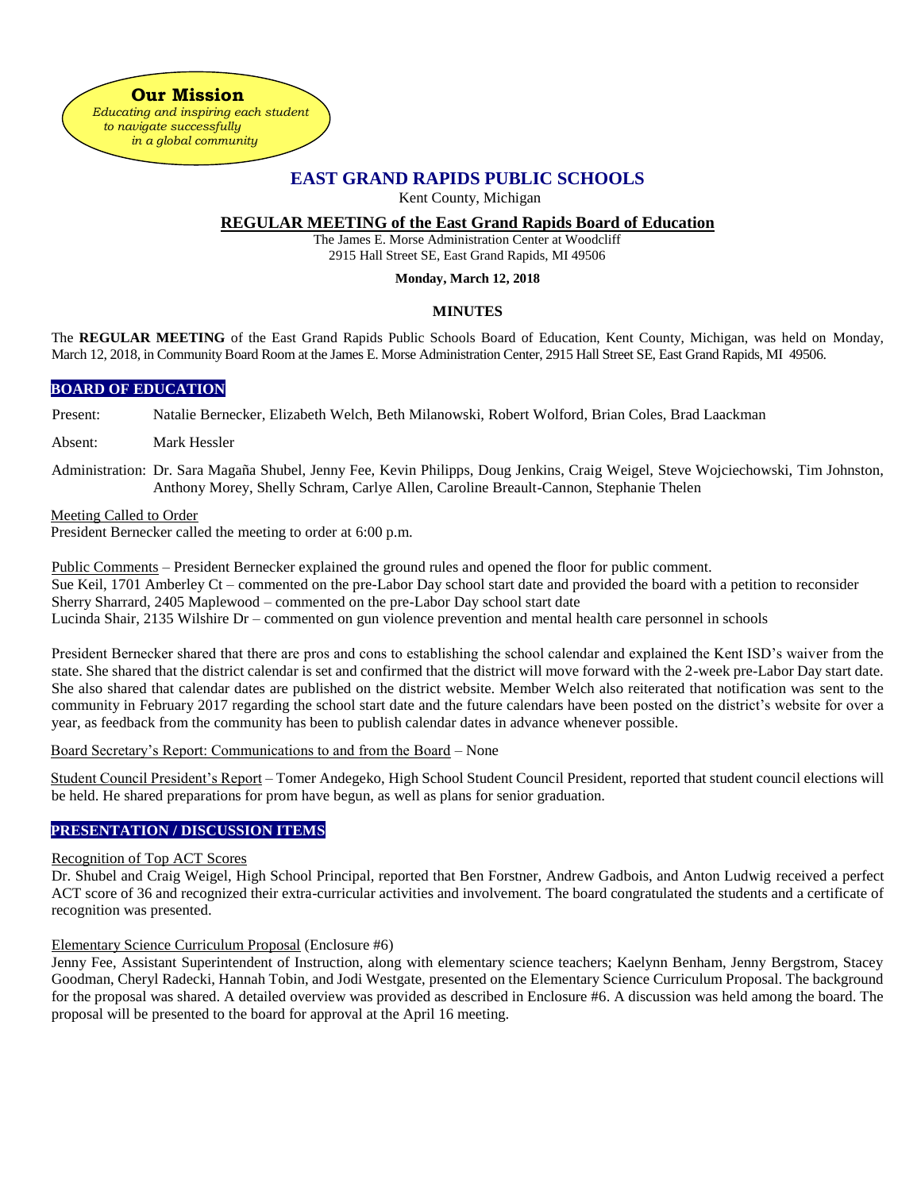**Our Mission**  *Educating and inspiring each student to navigate successfully in a global community*

# **EAST GRAND RAPIDS PUBLIC SCHOOLS**

Kent County, Michigan

## **REGULAR MEETING of the East Grand Rapids Board of Education**

The James E. Morse Administration Center at Woodcliff 2915 Hall Street SE, East Grand Rapids, MI 49506

#### **Monday, March 12, 2018**

### **MINUTES**

The **REGULAR MEETING** of the East Grand Rapids Public Schools Board of Education, Kent County, Michigan, was held on Monday, March 12, 2018, in Community Board Room at the James E. Morse Administration Center, 2915 Hall Street SE, East Grand Rapids, MI 49506.

### **BOARD OF EDUCATION**

Present: Natalie Bernecker, Elizabeth Welch, Beth Milanowski, Robert Wolford, Brian Coles, Brad Laackman

Absent: Mark Hessler

Administration: Dr. Sara Magaña Shubel, Jenny Fee, Kevin Philipps, Doug Jenkins, Craig Weigel, Steve Wojciechowski, Tim Johnston, Anthony Morey, Shelly Schram, Carlye Allen, Caroline Breault-Cannon, Stephanie Thelen

#### Meeting Called to Order

President Bernecker called the meeting to order at 6:00 p.m.

Public Comments – President Bernecker explained the ground rules and opened the floor for public comment. Sue Keil, 1701 Amberley Ct – commented on the pre-Labor Day school start date and provided the board with a petition to reconsider Sherry Sharrard, 2405 Maplewood – commented on the pre-Labor Day school start date Lucinda Shair, 2135 Wilshire Dr – commented on gun violence prevention and mental health care personnel in schools

President Bernecker shared that there are pros and cons to establishing the school calendar and explained the Kent ISD's waiver from the state. She shared that the district calendar is set and confirmed that the district will move forward with the 2-week pre-Labor Day start date. She also shared that calendar dates are published on the district website. Member Welch also reiterated that notification was sent to the community in February 2017 regarding the school start date and the future calendars have been posted on the district's website for over a year, as feedback from the community has been to publish calendar dates in advance whenever possible.

Board Secretary's Report: Communications to and from the Board – None

Student Council President's Report – Tomer Andegeko, High School Student Council President, reported that student council elections will be held. He shared preparations for prom have begun, as well as plans for senior graduation.

### **PRESENTATION / DISCUSSION ITEMS**

#### Recognition of Top ACT Scores

Dr. Shubel and Craig Weigel, High School Principal, reported that Ben Forstner, Andrew Gadbois, and Anton Ludwig received a perfect ACT score of 36 and recognized their extra-curricular activities and involvement. The board congratulated the students and a certificate of recognition was presented.

#### Elementary Science Curriculum Proposal (Enclosure #6)

Jenny Fee, Assistant Superintendent of Instruction, along with elementary science teachers; Kaelynn Benham, Jenny Bergstrom, Stacey Goodman, Cheryl Radecki, Hannah Tobin, and Jodi Westgate, presented on the Elementary Science Curriculum Proposal. The background for the proposal was shared. A detailed overview was provided as described in Enclosure #6. A discussion was held among the board. The proposal will be presented to the board for approval at the April 16 meeting.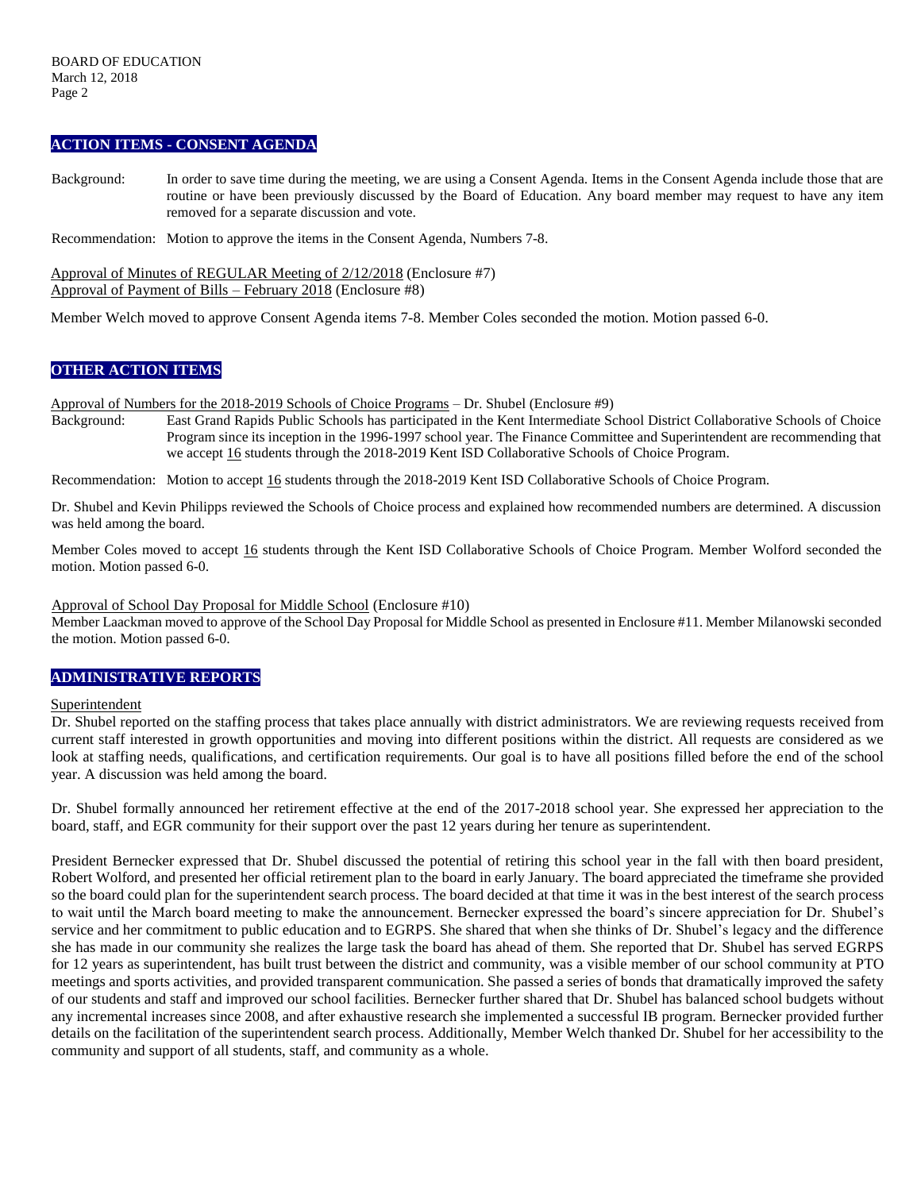### **ACTION ITEMS - CONSENT AGENDA**

Background: In order to save time during the meeting, we are using a Consent Agenda. Items in the Consent Agenda include those that are routine or have been previously discussed by the Board of Education. Any board member may request to have any item removed for a separate discussion and vote.

Recommendation: Motion to approve the items in the Consent Agenda, Numbers 7-8.

Approval of Minutes of REGULAR Meeting of 2/12/2018 (Enclosure #7) Approval of Payment of Bills – February 2018 (Enclosure #8)

Member Welch moved to approve Consent Agenda items 7-8. Member Coles seconded the motion. Motion passed 6-0.

### **OTHER ACTION ITEMS**

Approval of Numbers for the 2018-2019 Schools of Choice Programs – Dr. Shubel (Enclosure #9)

Background: East Grand Rapids Public Schools has participated in the Kent Intermediate School District Collaborative Schools of Choice Program since its inception in the 1996-1997 school year. The Finance Committee and Superintendent are recommending that we accept 16 students through the 2018-2019 Kent ISD Collaborative Schools of Choice Program.

Recommendation: Motion to accept 16 students through the 2018-2019 Kent ISD Collaborative Schools of Choice Program.

Dr. Shubel and Kevin Philipps reviewed the Schools of Choice process and explained how recommended numbers are determined. A discussion was held among the board.

Member Coles moved to accept 16 students through the Kent ISD Collaborative Schools of Choice Program. Member Wolford seconded the motion. Motion passed 6-0.

#### Approval of School Day Proposal for Middle School (Enclosure #10)

Member Laackman moved to approve of the School Day Proposal for Middle School as presented in Enclosure #11. Member Milanowski seconded the motion. Motion passed 6-0.

### **ADMINISTRATIVE REPORTS**

#### Superintendent

Dr. Shubel reported on the staffing process that takes place annually with district administrators. We are reviewing requests received from current staff interested in growth opportunities and moving into different positions within the district. All requests are considered as we look at staffing needs, qualifications, and certification requirements. Our goal is to have all positions filled before the end of the school year. A discussion was held among the board.

Dr. Shubel formally announced her retirement effective at the end of the 2017-2018 school year. She expressed her appreciation to the board, staff, and EGR community for their support over the past 12 years during her tenure as superintendent.

President Bernecker expressed that Dr. Shubel discussed the potential of retiring this school year in the fall with then board president, Robert Wolford, and presented her official retirement plan to the board in early January. The board appreciated the timeframe she provided so the board could plan for the superintendent search process. The board decided at that time it was in the best interest of the search process to wait until the March board meeting to make the announcement. Bernecker expressed the board's sincere appreciation for Dr. Shubel's service and her commitment to public education and to EGRPS. She shared that when she thinks of Dr. Shubel's legacy and the difference she has made in our community she realizes the large task the board has ahead of them. She reported that Dr. Shubel has served EGRPS for 12 years as superintendent, has built trust between the district and community, was a visible member of our school community at PTO meetings and sports activities, and provided transparent communication. She passed a series of bonds that dramatically improved the safety of our students and staff and improved our school facilities. Bernecker further shared that Dr. Shubel has balanced school budgets without any incremental increases since 2008, and after exhaustive research she implemented a successful IB program. Bernecker provided further details on the facilitation of the superintendent search process. Additionally, Member Welch thanked Dr. Shubel for her accessibility to the community and support of all students, staff, and community as a whole.